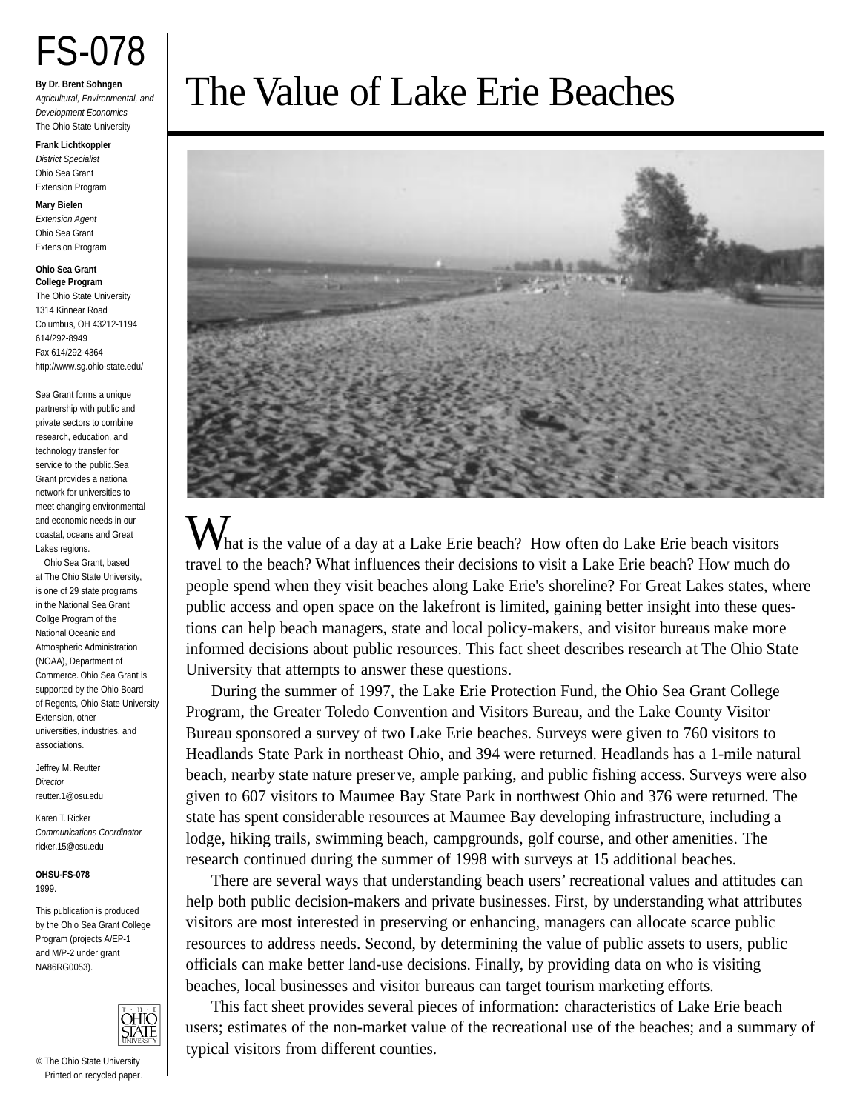# FS-078

**By Dr. Brent Sohngen** Agricultural, Environmental, and Development Economics The Ohio State University

**Frank Lichtkoppler** District Specialist Ohio Sea Grant Extension Program

#### **Mary Bielen**

Extension Agent Ohio Sea Grant Extension Program

#### **Ohio Sea Grant College Program**

The Ohio State University 1314 Kinnear Road Columbus, OH 43212-1194 614/292-8949 Fax 614/292-4364 http://www.sg.ohio-state.edu/

Sea Grant forms a unique partnership with public and private sectors to combine research, education, and technology transfer for service to the public.Sea Grant provides a national network for universities to meet changing environmental and economic needs in our coastal, oceans and Great Lakes regions.

Ohio Sea Grant, based at The Ohio State University, is one of 29 state prog rams in the National Sea Grant Collge Program of the National Oceanic and Atmospheric Administration (NOAA), Department of Commerce. Ohio Sea Grant is supported by the Ohio Board of Regents, Ohio State University Extension, other universities, industries, and associations.

Jeffrev M. Reutter **Director** reutter.1@osu.edu

Karen T. Ricker Communications Coordinator ricker.15@osu.edu

**OHSU-FS-078** 1999.

This publication is produced by the Ohio Sea Grant College Program (projects A/EP-1 and M/P-2 under grant NA86RG0053).



# The Value of Lake Erie Beaches



hat is the value of a day at a Lake Erie beach? How often do Lake Erie beach visitors travel to the beach? What influences their decisions to visit a Lake Erie beach? How much do people spend when they visit beaches along Lake Erie's shoreline? For Great Lakes states, where public access and open space on the lakefront is limited, gaining better insight into these questions can help beach managers, state and local policy-makers, and visitor bureaus make more informed decisions about public resources. This fact sheet describes research at The Ohio State University that attempts to answer these questions.

During the summer of 1997, the Lake Erie Protection Fund, the Ohio Sea Grant College Program, the Greater Toledo Convention and Visitors Bureau, and the Lake County Visitor Bureau sponsored a survey of two Lake Erie beaches. Surveys were given to 760 visitors to Headlands State Park in northeast Ohio, and 394 were returned. Headlands has a 1-mile natural beach, nearby state nature preserve, ample parking, and public fishing access. Surveys were also given to 607 visitors to Maumee Bay State Park in northwest Ohio and 376 were returned. The state has spent considerable resources at Maumee Bay developing infrastructure, including a lodge, hiking trails, swimming beach, campgrounds, golf course, and other amenities. The research continued during the summer of 1998 with surveys at 15 additional beaches.

There are several ways that understanding beach users' recreational values and attitudes can help both public decision-makers and private businesses. First, by understanding what attributes visitors are most interested in preserving or enhancing, managers can allocate scarce public resources to address needs. Second, by determining the value of public assets to users, public officials can make better land-use decisions. Finally, by providing data on who is visiting beaches, local businesses and visitor bureaus can target tourism marketing efforts.

This fact sheet provides several pieces of information: characteristics of Lake Erie beach users; estimates of the non-market value of the recreational use of the beaches; and a summary of typical visitors from different counties.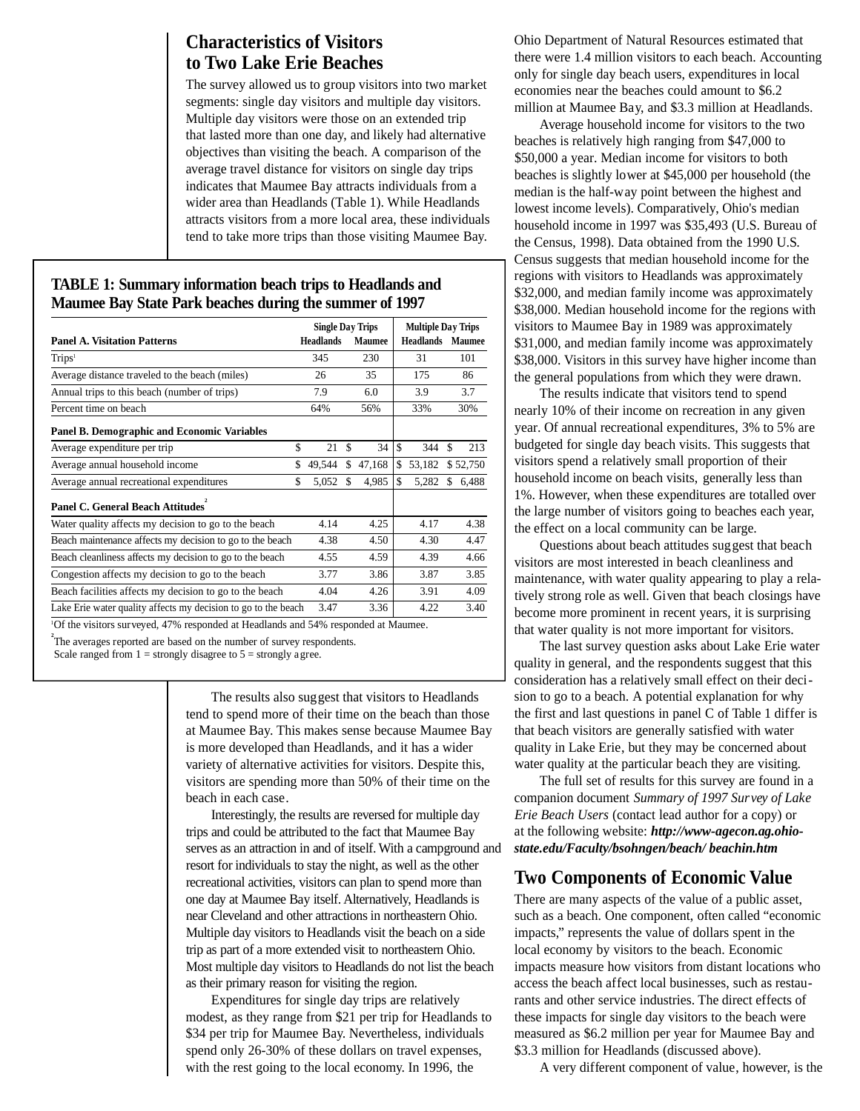# **Characteristics of Visitors to Two Lake Erie Beaches**

The survey allowed us to group visitors into two market segments: single day visitors and multiple day visitors. Multiple day visitors were those on an extended trip that lasted more than one day, and likely had alternative objectives than visiting the beach. A comparison of the average travel distance for visitors on single day trips indicates that Maumee Bay attracts individuals from a wider area than Headlands (Table 1). While Headlands attracts visitors from a more local area, these individuals tend to take more trips than those visiting Maumee Bay.

# **TABLE 1: Summary information beach trips to Headlands and Maumee Bay State Park beaches during the summer of 1997**

|                                                                                                | <b>Single Day Trips</b> |                  |    | <b>Multiple Day Trips</b> |    |           |    |               |  |
|------------------------------------------------------------------------------------------------|-------------------------|------------------|----|---------------------------|----|-----------|----|---------------|--|
| <b>Panel A. Visitation Patterns</b>                                                            |                         | <b>Headlands</b> |    | <b>Maumee</b>             |    | Headlands |    | <b>Maumee</b> |  |
| Trips <sup>1</sup>                                                                             |                         | 345              |    | 230                       |    | 31        |    | 101           |  |
| Average distance traveled to the beach (miles)                                                 |                         | 26               |    | 35                        |    | 175       |    | 86            |  |
| Annual trips to this beach (number of trips)                                                   |                         | 7.9              |    | 6.0                       |    | 3.9       |    | 3.7           |  |
| Percent time on beach                                                                          |                         | 64%              |    | 56%                       |    | 33%       |    | 30%           |  |
| <b>Panel B. Demographic and Economic Variables</b>                                             |                         |                  |    |                           |    |           |    |               |  |
| Average expenditure per trip                                                                   | \$                      | 21               | \$ | 34                        | \$ | 344       | \$ | 213           |  |
| Average annual household income                                                                | \$                      | 49,544           | \$ | 47,168                    | \$ | 53,182    |    | \$52,750      |  |
| Average annual recreational expenditures                                                       | \$                      | 5,052            | \$ | 4,985                     | \$ | 5,282     | \$ | 6,488         |  |
| Panel C. General Beach Attitudes                                                               |                         |                  |    |                           |    |           |    |               |  |
| Water quality affects my decision to go to the beach                                           |                         | 4.14             |    | 4.25                      |    | 4.17      |    | 4.38          |  |
| Beach maintenance affects my decision to go to the beach                                       |                         | 4.38             |    | 4.50                      |    | 4.30      |    | 4.47          |  |
| Beach cleanliness affects my decision to go to the beach                                       |                         | 4.55             |    | 4.59                      |    | 4.39      |    | 4.66          |  |
| Congestion affects my decision to go to the beach                                              |                         | 3.77             |    | 3.86                      |    | 3.87      |    | 3.85          |  |
| Beach facilities affects my decision to go to the beach                                        |                         | 4.04             |    | 4.26                      |    | 3.91      |    | 4.09          |  |
| Lake Erie water quality affects my decision to go to the beach                                 |                         | 3.47             |    | 3.36                      |    | 4.22      |    | 3.40          |  |
| <sup>1</sup> Of the visitors surveyed, 47% responded at Headlands and 54% responded at Maumee. |                         |                  |    |                           |    |           |    |               |  |

<sup>2</sup>The averages reported are based on the number of survey respondents.

Scale ranged from  $1 =$  strongly disagree to  $5 =$  strongly agree.

The results also suggest that visitors to Headlands tend to spend more of their time on the beach than those at Maumee Bay. This makes sense because Maumee Bay is more developed than Headlands, and it has a wider variety of alternative activities for visitors. Despite this, visitors are spending more than 50% of their time on the beach in each case.

Interestingly, the results are reversed for multiple day trips and could be attributed to the fact that Maumee Bay serves as an attraction in and of itself. With a campground and resort for individuals to stay the night, as well as the other recreational activities, visitors can plan to spend more than one day at Maumee Bay itself. Alternatively, Headlands is near Cleveland and other attractions in northeastern Ohio. Multiple day visitors to Headlands visit the beach on a side trip as part of a more extended visit to northeastern Ohio. Most multiple day visitors to Headlands do not list the beach as their primary reason for visiting the region.

Expenditures for single day trips are relatively modest, as they range from \$21 per trip for Headlands to \$34 per trip for Maumee Bay. Nevertheless, individuals spend only 26-30% of these dollars on travel expenses, with the rest going to the local economy. In 1996, the

Ohio Department of Natural Resources estimated that there were 1.4 million visitors to each beach. Accounting only for single day beach users, expenditures in local economies near the beaches could amount to \$6.2 million at Maumee Bay, and \$3.3 million at Headlands.

Average household income for visitors to the two beaches is relatively high ranging from \$47,000 to \$50,000 a year. Median income for visitors to both beaches is slightly lower at \$45,000 per household (the median is the half-way point between the highest and lowest income levels). Comparatively, Ohio's median household income in 1997 was \$35,493 (U.S. Bureau of the Census, 1998). Data obtained from the 1990 U.S. Census suggests that median household income for the regions with visitors to Headlands was approximately \$32,000, and median family income was approximately \$38,000. Median household income for the regions with visitors to Maumee Bay in 1989 was approximately \$31,000, and median family income was approximately \$38,000. Visitors in this survey have higher income than the general populations from which they were drawn.

The results indicate that visitors tend to spend nearly 10% of their income on recreation in any given year. Of annual recreational expenditures, 3% to 5% are budgeted for single day beach visits. This suggests that visitors spend a relatively small proportion of their household income on beach visits, generally less than 1%. However, when these expenditures are totalled over the large number of visitors going to beaches each year, the effect on a local community can be large.

Questions about beach attitudes suggest that beach visitors are most interested in beach cleanliness and maintenance, with water quality appearing to play a relatively strong role as well. Given that beach closings have become more prominent in recent years, it is surprising that water quality is not more important for visitors.

The last survey question asks about Lake Erie water quality in general, and the respondents suggest that this consideration has a relatively small effect on their decision to go to a beach. A potential explanation for why the first and last questions in panel C of Table 1 differ is that beach visitors are generally satisfied with water quality in Lake Erie, but they may be concerned about water quality at the particular beach they are visiting.

The full set of results for this survey are found in a companion document *Summary of 1997 Survey of Lake Erie Beach Users* (contact lead author for a copy) or at the following website: *http://www-agecon.ag.ohiostate.edu/Faculty/bsohngen/beach/ beachin.htm*

## **Two Components of Economic Value**

There are many aspects of the value of a public asset, such as a beach. One component, often called "economic impacts," represents the value of dollars spent in the local economy by visitors to the beach. Economic impacts measure how visitors from distant locations who access the beach affect local businesses, such as restaurants and other service industries. The direct effects of these impacts for single day visitors to the beach were measured as \$6.2 million per year for Maumee Bay and \$3.3 million for Headlands (discussed above).

A very different component of value, however, is the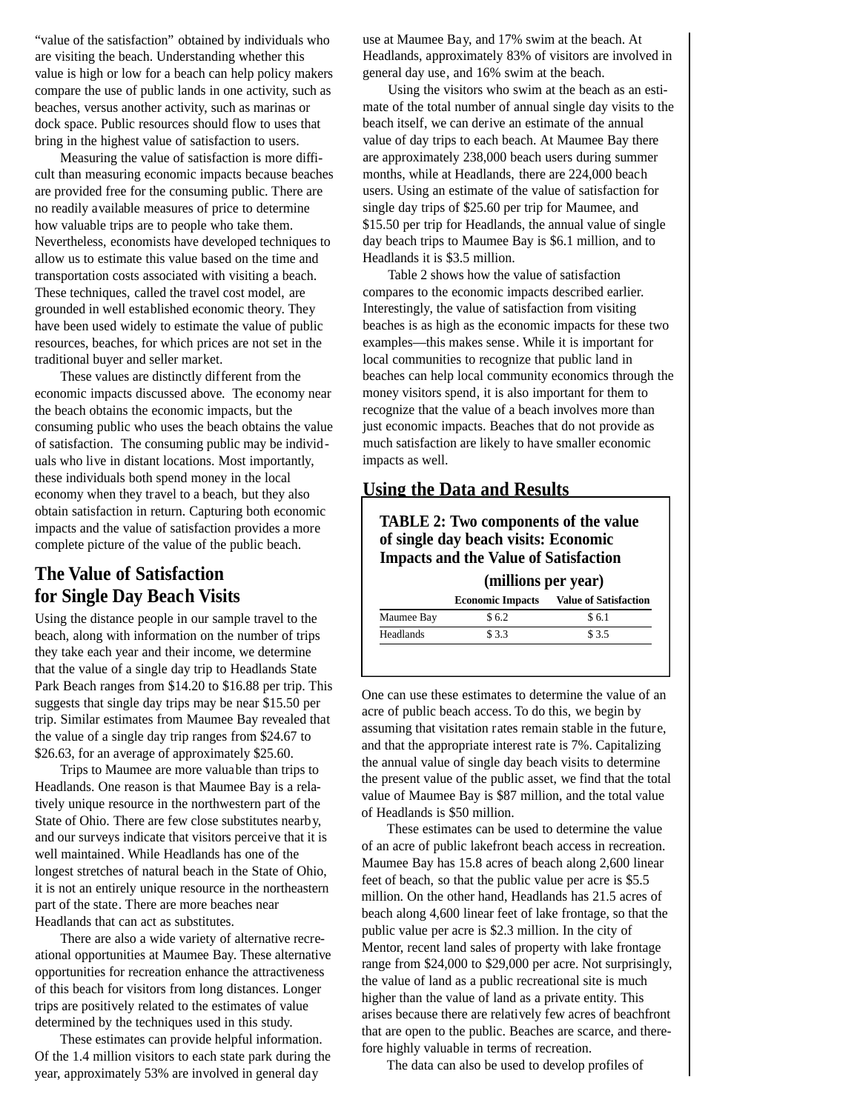"value of the satisfaction" obtained by individuals who are visiting the beach. Understanding whether this value is high or low for a beach can help policy makers compare the use of public lands in one activity, such as beaches, versus another activity, such as marinas or dock space. Public resources should flow to uses that bring in the highest value of satisfaction to users.

Measuring the value of satisfaction is more difficult than measuring economic impacts because beaches are provided free for the consuming public. There are no readily available measures of price to determine how valuable trips are to people who take them. Nevertheless, economists have developed techniques to allow us to estimate this value based on the time and transportation costs associated with visiting a beach. These techniques, called the travel cost model, are grounded in well established economic theory. They have been used widely to estimate the value of public resources, beaches, for which prices are not set in the traditional buyer and seller market.

These values are distinctly different from the economic impacts discussed above. The economy near the beach obtains the economic impacts, but the consuming public who uses the beach obtains the value of satisfaction. The consuming public may be individuals who live in distant locations. Most importantly, these individuals both spend money in the local economy when they travel to a beach, but they also obtain satisfaction in return. Capturing both economic impacts and the value of satisfaction provides a more complete picture of the value of the public beach.

# **The Value of Satisfaction for Single Day Beach Visits**

Using the distance people in our sample travel to the beach, along with information on the number of trips they take each year and their income, we determine that the value of a single day trip to Headlands State Park Beach ranges from \$14.20 to \$16.88 per trip. This suggests that single day trips may be near \$15.50 per trip. Similar estimates from Maumee Bay revealed that the value of a single day trip ranges from \$24.67 to \$26.63, for an average of approximately \$25.60.

Trips to Maumee are more valuable than trips to Headlands. One reason is that Maumee Bay is a relatively unique resource in the northwestern part of the State of Ohio. There are few close substitutes nearby, and our surveys indicate that visitors perceive that it is well maintained. While Headlands has one of the longest stretches of natural beach in the State of Ohio, it is not an entirely unique resource in the northeastern part of the state. There are more beaches near Headlands that can act as substitutes.

There are also a wide variety of alternative recreational opportunities at Maumee Bay. These alternative opportunities for recreation enhance the attractiveness of this beach for visitors from long distances. Longer trips are positively related to the estimates of value determined by the techniques used in this study.

These estimates can provide helpful information. Of the 1.4 million visitors to each state park during the year, approximately 53% are involved in general day

use at Maumee Bay, and 17% swim at the beach. At Headlands, approximately 83% of visitors are involved in general day use, and 16% swim at the beach.

Using the visitors who swim at the beach as an estimate of the total number of annual single day visits to the beach itself, we can derive an estimate of the annual value of day trips to each beach. At Maumee Bay there are approximately 238,000 beach users during summer months, while at Headlands, there are 224,000 beach users. Using an estimate of the value of satisfaction for single day trips of \$25.60 per trip for Maumee, and \$15.50 per trip for Headlands, the annual value of single day beach trips to Maumee Bay is \$6.1 million, and to Headlands it is \$3.5 million.

Table 2 shows how the value of satisfaction compares to the economic impacts described earlier. Interestingly, the value of satisfaction from visiting beaches is as high as the economic impacts for these two examples—this makes sense. While it is important for local communities to recognize that public land in beaches can help local community economics through the money visitors spend, it is also important for them to recognize that the value of a beach involves more than just economic impacts. Beaches that do not provide as much satisfaction are likely to have smaller economic impacts as well.

# **Using the Data and Results**

# **TABLE 2: Two components of the value of single day beach visits: Economic Impacts and the Value of Satisfaction**

#### **(millions per year)**

|                  | <b>Economic Impacts</b> | <b>Value of Satisfaction</b> |
|------------------|-------------------------|------------------------------|
| Maumee Bay       | \$6.2                   | \$6.1                        |
| <b>Headlands</b> | \$ 3.3                  | \$3.5                        |

One can use these estimates to determine the value of an acre of public beach access. To do this, we begin by assuming that visitation rates remain stable in the future, and that the appropriate interest rate is 7%. Capitalizing the annual value of single day beach visits to determine the present value of the public asset, we find that the total value of Maumee Bay is \$87 million, and the total value of Headlands is \$50 million.

These estimates can be used to determine the value of an acre of public lakefront beach access in recreation. Maumee Bay has 15.8 acres of beach along 2,600 linear feet of beach, so that the public value per acre is \$5.5 million. On the other hand, Headlands has 21.5 acres of beach along 4,600 linear feet of lake frontage, so that the public value per acre is \$2.3 million. In the city of Mentor, recent land sales of property with lake frontage range from \$24,000 to \$29,000 per acre. Not surprisingly, the value of land as a public recreational site is much higher than the value of land as a private entity. This arises because there are relatively few acres of beachfront that are open to the public. Beaches are scarce, and therefore highly valuable in terms of recreation.

The data can also be used to develop profiles of